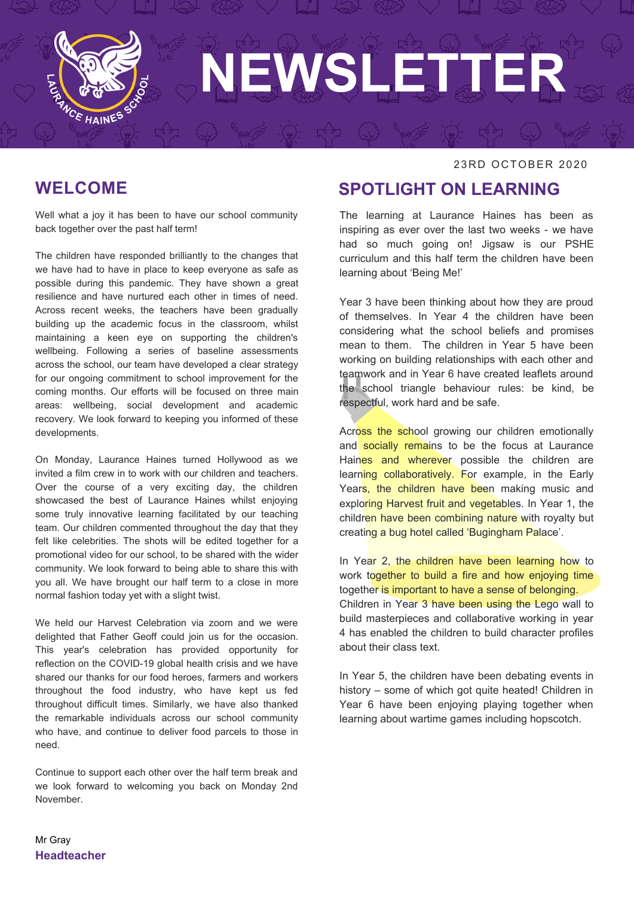

### **WELCOME**

Well what a joy it has been to have our school community back together over the past half term!

The children have responded brilliantly to the changes that we have had to have in place to keep everyone as safe as possible during this pandemic. They have shown a great resilience and have nurtured each other in times of need. Across recent weeks, the teachers have been gradually building up the academic focus in the classroom, whilst maintaining a keen eye on supporting the children's wellbeing. Following a series of baseline assessments across the school, our team have developed a clear strategy for our ongoing commitment to school improvement for the coming months. Our efforts will be focused on three main areas: wellbeing, social development and academic recovery. We look forward to keeping you informed of these developments.

On Monday, Laurance Haines turned Hollywood as we invited a film crew in to work with our children and teachers. Over the course of a very exciting day, the children showcased the best of Laurance Haines whilst enjoying some truly innovative learning facilitated by our teaching team. Our children commented throughout the day that they felt like celebrities. The shots will be edited together for a promotional video for our school, to be shared with the wider community. We look forward to being able to share this with you all. We have brought our half term to a close in more normal fashion today yet with a slight twist.

We held our Harvest Celebration via zoom and we were delighted that Father Geoff could join us for the occasion. This year's celebration has provided opportunity for reflection on the COVID-19 global health crisis and we have shared our thanks for our food heroes, farmers and workers throughout the food industry, who have kept us fed throughout difficult times. Similarly, we have also thanked the remarkable individuals across our school community who have, and continue to deliver food parcels to those in need.

Continue to support each other over the half term break and we look forward to welcoming you back on Monday 2nd November.

#### 23RD OCTOBER 2020

### **SPOTLIGHT ON LEARNING**

The learning at Laurance Haines has been as inspiring as ever over the last two weeks - we have had so much going on! Jigsaw is our PSHE curriculum and this half term the children have been learning about 'Being Me!'

Year 3 have been thinking about how they are proud of themselves. In Year 4 the children have been considering what the school beliefs and promises mean to them. The children in Year 5 have been working on building relationships with each other and teamwork and in Year 6 have created leaflets around the school triangle behaviour rules: be kind, be respectful, work hard and be safe.

Across the school growing our children emotionally and socially remains to be the focus at Laurance Haines and wherever possible the children are learning collaboratively. For example, in the Early Years, the children have been making music and exploring Harvest fruit and vegetables. In Year 1, the children have been combining nature with royalty but creating a bug hotel called 'Bugingham Palace'.

In Year 2, the children have been learning how to work together to build a fire and how enjoying time together is important to have a sense of belonging. Children in Year 3 have been using the Lego wall to build masterpieces and collaborative working in year 4 has enabled the children to build character profiles about their class text.

In Year 5, the children have been debating events in history – some of which got quite heated! Children in Year 6 have been enjoying playing together when learning about wartime games including hopscotch.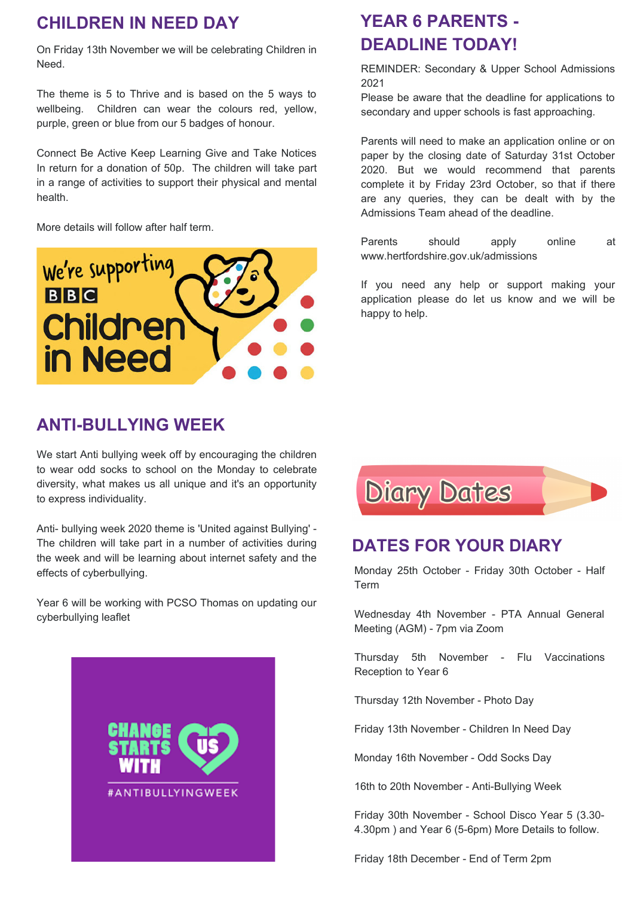# **CHILDREN IN NEED DAY**

On Friday 13th November we will be celebrating Children in Need.

The theme is 5 to Thrive and is based on the 5 ways to wellbeing. Children can wear the colours red, yellow, purple, green or blue from our 5 badges of honour.

Connect Be Active Keep Learning Give and Take Notices In return for a donation of 50p. The children will take part in a range of activities to support their physical and mental health.

More details will follow after half term.

![](_page_1_Picture_5.jpeg)

### **ANTI-BULLYING WEEK**

We start Anti bullying week off by encouraging the children to wear odd socks to school on the Monday to celebrate diversity, what makes us all unique and it's an opportunity to express individuality.

Anti- bullying week 2020 theme is 'United against Bullying' - The children will take part in a number of activities during the week and will be learning about internet safety and the effects of cyberbullying.

Year 6 will be working with PCSO Thomas on updating our cyberbullying leaflet

![](_page_1_Picture_10.jpeg)

# **YEAR 6 PARENTS - DEADLINE TODAY!**

REMINDER: Secondary & Upper School Admissions 2021

Please be aware that the deadline for applications to secondary and upper schools is fast approaching.

Parents will need to make an application online or on paper by the closing date of Saturday 31st October 2020. But we would recommend that parents complete it by Friday 23rd October, so that if there are any queries, they can be dealt with by the Admissions Team ahead of the deadline.

Parents should apply online at www.hertfordshire.gov.uk/admissions

If you need any help or support making your application please do let us know and we will be happy to help.

![](_page_1_Picture_17.jpeg)

# **DATES FOR YOUR DIARY**

Monday 25th October - Friday 30th October - Half Term

Wednesday 4th November - PTA Annual General Meeting (AGM) - 7pm via Zoom

Thursday 5th November - Flu Vaccinations Reception to Year 6

Thursday 12th November - Photo Day

Friday 13th November - Children In Need Day

Monday 16th November - Odd Socks Day

16th to 20th November - Anti-Bullying Week

Friday 30th November - School Disco Year 5 (3.30- 4.30pm ) and Year 6 (5-6pm) More Details to follow.

Friday 18th December - End of Term 2pm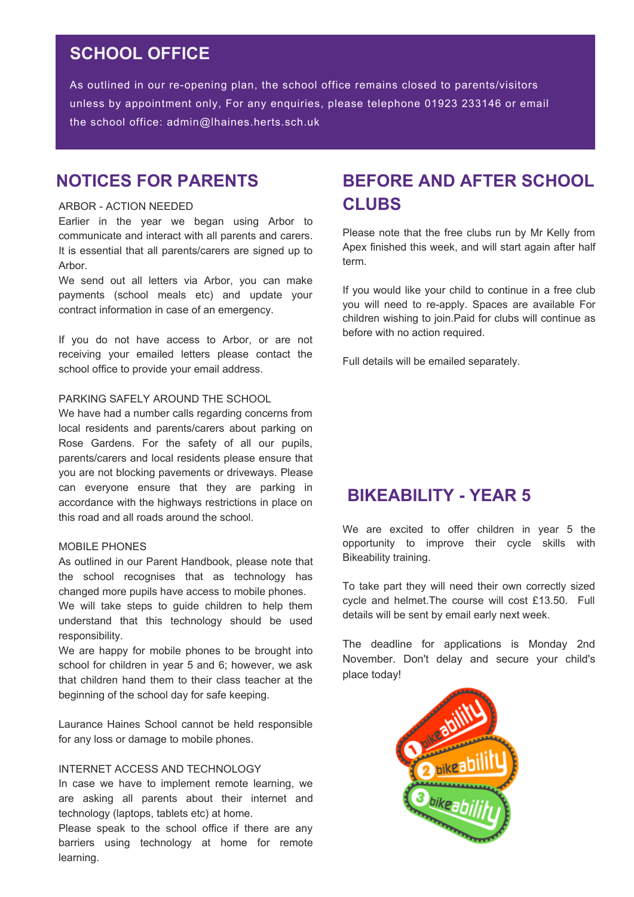## **SCHOOL OFFICE**

As outlined in our re-opening plan, the school office remains closed to parents/visitors unless by appointment only, For any enquiries, please telephone 01923 233146 or email the school office: admin@lhaines.herts.sch.uk

### **NOTICES FOR PARENTS**

#### ARBOR - ACTION NEEDED

Earlier in the year we began using Arbor to communicate and interact with all parents and carers. It is essential that all parents/carers are signed up to Arbor.

We send out all letters via Arbor, you can make payments (school meals etc) and update your contract information in case of an emergency.

If you do not have access to Arbor, or are not receiving your emailed letters please contact the school office to provide your email address.

#### PARKING SAFELY AROUND THE SCHOOL

We have had a number calls regarding concerns from local residents and parents/carers about parking on Rose Gardens. For the safety of all our pupils, parents/carers and local residents please ensure that you are not blocking pavements or driveways. Please can everyone ensure that they are parking in accordance with the highways restrictions in place on this road and all roads around the school.

#### MOBILE PHONES

As outlined in our Parent Handbook, please note that the school recognises that as technology has changed more pupils have access to mobile phones. We will take steps to guide children to help them

understand that this technology should be used responsibility. We are happy for mobile phones to be brought into

school for children in year 5 and 6; however, we ask that children hand them to their class teacher at the beginning of the school day for safe keeping.

Laurance Haines School cannot be held responsible for any loss or damage to mobile phones.

#### INTERNET ACCESS AND TECHNOLOGY

In case we have to implement remote learning, we are asking all parents about their internet and technology (laptops, tablets etc) at home.

Please speak to the school office if there are any barriers using technology at home for remote learning.

# **BEFORE AND AFTER SCHOOL CLUBS**

Please note that the free clubs run by Mr Kelly from Apex finished this week, and will start again after half term.

If you would like your child to continue in a free club you will need to re-apply. Spaces are available For children wishing to join.Paid for clubs will continue as before with no action required.

Full details will be emailed separately.

### **BIKEABILITY - YEAR 5**

We are excited to offer children in year 5 the opportunity to improve their cycle skills with Bikeability training.

To take part they will need their own correctly sized cycle and helmet.The course will cost £13.50. Full details will be sent by email early next week.

The deadline for applications is Monday 2nd November. Don't delay and secure your child's place today!

![](_page_2_Picture_25.jpeg)